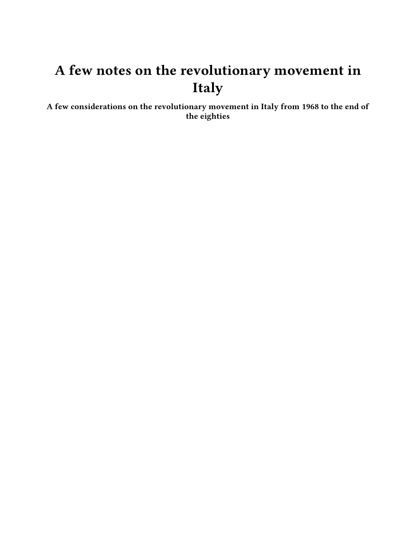## **A few notes on the revolutionary movement in Italy**

**A few considerations on the revolutionary movement in Italy from 1968 to the end of the eighties**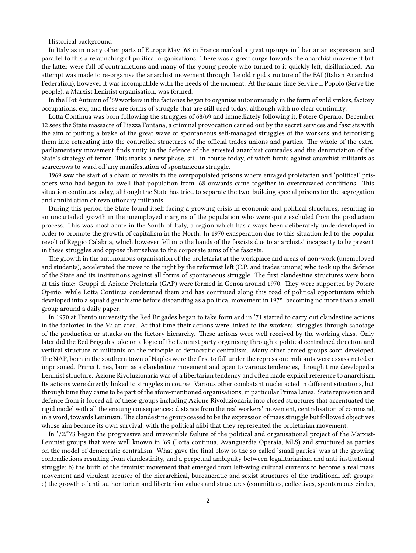Historical background

In Italy as in many other parts of Europe May '68 in France marked a great upsurge in libertarian expression, and parallel to this a relaunching of political organisations. There was a great surge towards the anarchist movement but the latter were full of contradictions and many of the young people who turned to it quickly left, disillusioned. An attempt was made to re-organise the anarchist movement through the old rigid structure of the FAI (Italian Anarchist Federation), however it was incompatible with the needs of the moment. At the same time Servire il Popolo (Serve the people), a Marxist Leninist organisation, was formed.

In the Hot Autumn of '69 workers in the factories began to organise autonomously in the form of wild strikes, factory occupations, etc, and these are forms of struggle that are still used today, although with no clear continuity.

Lotta Continua was born following the struggles of 68/69 and immediately following it, Potere Operaio. December 12 sees the State massacre of Piazza Fontana, a criminal provocation carried out by the secret services and fascists with the aim of putting a brake of the great wave of spontaneous self-managed struggles of the workers and terrorising them into retreating into the controlled structures of the official trades unions and parties. The whole of the extraparliamentary movement finds unity in the defence of the arrested anarchist comrades and the denunciation of the State's strategy of terror. This marks a new phase, still in course today, of witch hunts against anarchist militants as scarecrows to ward off any manifestation of spontaneous struggle.

1969 saw the start of a chain of revolts in the overpopulated prisons where enraged proletarian and 'political' prisoners who had begun to swell that population from '68 onwards came together in overcrowded conditions. This situation continues today, although the State has tried to separate the two, building special prisons for the segregation and annihilation of revolutionary militants.

During this period the State found itself facing a growing crisis in economic and political structures, resulting in an uncurtailed growth in the unemployed margins of the population who were quite excluded from the production process. This was most acute in the South of Italy, a region which has always been deliberately underdeveloped in order to promote the growth of capitalism in the North. In 1970 exasperation due to this situation led to the popular revolt of Reggio Calabria, which however fell into the hands of the fascists due to anarchists' incapacity to be present in these struggles and oppose themselves to the corporate aims of the fascists.

The growth in the autonomous organisation of the proletariat at the workplace and areas of non-work (unemployed and students), accelerated the move to the right by the reformist left (C.P. and trades unions) who took up the defence of the State and its institutions against all forms of spontaneous struggle. The first clandestine structures were born at this time: Gruppi di Azione Proletaria (GAP) were formed in Genoa around 1970. They were supported by Potere Operio, while Lotta Continua condemned them and has continued along this road of political opportunism which developed into a squalid gauchisme before disbanding as a political movement in 1975, becoming no more than a small group around a daily paper.

In 1970 at Trento university the Red Brigades began to take form and in '71 started to carry out clandestine actions in the factories in the Milan area. At that time their actions were linked to the workers' struggles through sabotage of the production or attacks on the factory hierarchy. These actions were well received by the working class. Only later did the Red Brigades take on a logic of the Leninist party organising through a political centralised direction and vertical structure of militants on the principle of democratic centralism. Many other armed groups soon developed. The NAP, born in the southern town of Naples were the first to fall under the repression: militants were assassinated or imprisoned. Prima Linea, born as a clandestine movement and open to various tendencies, through time developed a Leninist structure. Azione Rivoluzionaria was of a libertarian tendency and often made explicit reference to anarchism. Its actions were directly linked to struggles in course. Various other combatant nuclei acted in different situations, but through time they came to be part of the afore-mentioned organisations, in particular Prima Linea. State repression and defence from it forced all of these groups including Azione Rivoluzionaria into closed structures that accentuated the rigid model with all the ensuing consequences: distance from the real workers' movement, centralisation of command, in a word, towards Leninism. The clandestine group ceased to be the expression of mass struggle but followed objectives whose aim became its own survival, with the political alibi that they represented the proletarian movement.

In '72/'73 began the progressive and irreversible failure of the political and organisational project of the Marxist-Leninist groups that were well known in '69 (Lotta continua, Avanguardia Operaia, MLS) and structured as parties on the model of democratic centralism. What gave the final blow to the so-called 'small parties' was a) the growing contradictions resulting from clandestinity, and a perpetual ambiguity between legalitarianism and anti-institutional struggle; b) the birth of the feminist movement that emerged from left-wing cultural currents to become a real mass movement and virulent accuser of the hierarchical, bureaucratic and sexist structures of the traditional left groups; c) the growth of anti-authoritarian and libertarian values and structures (committees, collectives, spontaneous circles,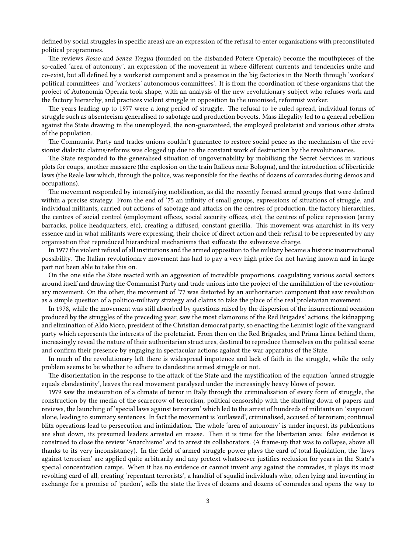defined by social struggles in specific areas) are an expression of the refusal to enter organisations with preconstituted political programmes.

The reviews *Rosso* and *Senza Tregua* (founded on the disbanded Potere Operaio) become the mouthpieces of the so-called 'area of autonomy', an expression of the movement in where different currents and tendencies unite and co-exist, but all defined by a workerist component and a presence in the big factories in the North through 'workers' political committees' and 'workers' autonomous committees'. It is from the coordination of these organisms that the project of Autonomia Operaia took shape, with an analysis of the new revolutionary subject who refuses work and the factory hierarchy, and practices violent struggle in opposition to the unionised, reformist worker.

The years leading up to 1977 were a long period of struggle. The refusal to be ruled spread, individual forms of struggle such as absenteeism generalised to sabotage and production boycots. Mass illegality led to a general rebellion against the State drawing in the unemployed, the non-guaranteed, the employed proletariat and various other strata of the population.

The Communist Party and trades unions couldn't guarantee to restore social peace as the mechanism of the revisionist dialectic claims/reforms was clogged up due to the constant work of destruction by the revolutionaries.

The State responded to the generalised situation of ungovernability by mobilising the Secret Services in various plots for coups, another massacre (the explosion on the train Italicus near Bologna), and the introduction of liberticide laws (the Reale law which, through the police, was responsible for the deaths of dozens of comrades during demos and occupations).

The movement responded by intensifying mobilisation, as did the recently formed armed groups that were defined within a precise strategy. From the end of '75 an infinity of small groups, expressions of situations of struggle, and individual militants, carried out actions of sabotage and attacks on the centres of production, the factory hierarchies, the centres of social control (employment offices, social security offices, etc), the centres of police repression (army barracks, police headquarters, etc), creating a diffused, constant guerilla. This movement was anarchist in its very essence and in what militants were expressing, their choice of direct action and their refusal to be represented by any organisation that reproduced hierarchical mechanisms that suffocate the subversive charge.

In 1977 the violent refusal of all institutions and the armed opposition to the military became a historic insurrectional possibility. The Italian revolutionary movement has had to pay a very high price for not having known and in large part not been able to take this on.

On the one side the State reacted with an aggression of incredible proportions, coagulating various social sectors around itself and drawing the Communist Party and trade unions into the project of the annihilation of the revolutionary movement. On the other, the movement of '77 was distorted by an authoritarian component that saw revolution as a simple question of a politico-military strategy and claims to take the place of the real proletarian movement.

In 1978, while the movement was still absorbed by questions raised by the dispersion of the insurrectional occasion produced by the struggles of the preceding year, saw the most clamorous of the Red Brigades' actions, the kidnapping and elimination of Aldo Moro, president of the Christian democrat party, so enacting the Leninist logic of the vanguard party which represents the interests of the proletariat. From then on the Red Brigades, and Prima Linea behind them, increasingly reveal the nature of their authoritarian structures, destined to reproduce themselves on the political scene and confirm their presence by engaging in spectacular actions against the war apparatus of the State.

In much of the revolutionary left there is widespread impotence and lack of faith in the struggle, while the only problem seems to be whether to adhere to clandestine armed struggle or not.

The disorientation in the response to the attack of the State and the mystification of the equation 'armed struggle equals clandestinity', leaves the real movement paralysed under the increasingly heavy blows of power.

1979 saw the instauration of a climate of terror in Italy through the criminalisation of every form of struggle, the construction by the media of the scarecrow of terrorism, political censorship with the shutting down of papers and reviews, the launching of 'special laws against terrorism' which led to the arrest of hundreds of militants on 'suspicion' alone, leading to summary sentences. In fact the movement is 'outlawed', criminalised, accused of terrorism; continual blitz operations lead to persecution and intimidation. The whole 'area of autonomy' is under inquest, its publications are shut down, its presumed leaders arrested en masse. Then it is time for the libertarian area: false evidence is construed to close the review 'Anarchismo' and to arrest its collaborators. (A frame-up that was to collapse, above all thanks to its very inconsistancy). In the field of armed struggle power plays the card of total liquidation, the 'laws against terrorism' are applied quite arbitrarily and any pretext whatsoever justifies reclusion for years in the State's special concentration camps. When it has no evidence or cannot invent any against the comrades, it plays its most revolting card of all, creating 'repentant terrorists', a handful of squalid individuals who, often lying and inventing in exchange for a promise of 'pardon', sells the state the lives of dozens and dozens of comrades and opens the way to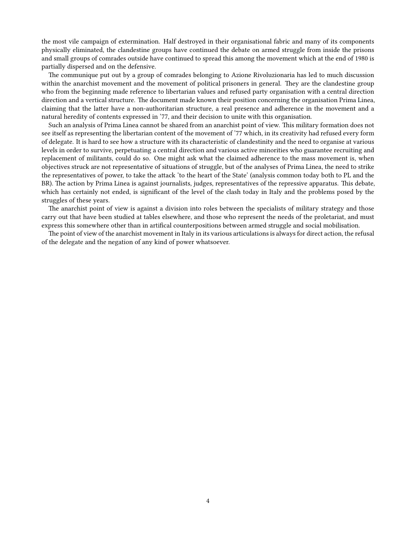the most vile campaign of extermination. Half destroyed in their organisational fabric and many of its components physically eliminated, the clandestine groups have continued the debate on armed struggle from inside the prisons and small groups of comrades outside have continued to spread this among the movement which at the end of 1980 is partially dispersed and on the defensive.

The communique put out by a group of comrades belonging to Azione Rivoluzionaria has led to much discussion within the anarchist movement and the movement of political prisoners in general. They are the clandestine group who from the beginning made reference to libertarian values and refused party organisation with a central direction direction and a vertical structure. The document made known their position concerning the organisation Prima Linea, claiming that the latter have a non-authoritarian structure, a real presence and adherence in the movement and a natural heredity of contents expressed in '77, and their decision to unite with this organisation.

Such an analysis of Prima Linea cannot be shared from an anarchist point of view. This military formation does not see itself as representing the libertarian content of the movement of '77 which, in its creativity had refused every form of delegate. It is hard to see how a structure with its characteristic of clandestinity and the need to organise at various levels in order to survive, perpetuating a central direction and various active minorities who guarantee recruiting and replacement of militants, could do so. One might ask what the claimed adherence to the mass movement is, when objectives struck are not representative of situations of struggle, but of the analyses of Prima Linea, the need to strike the representatives of power, to take the attack 'to the heart of the State' (analysis common today both to PL and the BR). The action by Prima Linea is against journalists, judges, representatives of the repressive apparatus. This debate, which has certainly not ended, is significant of the level of the clash today in Italy and the problems posed by the struggles of these years.

The anarchist point of view is against a division into roles between the specialists of military strategy and those carry out that have been studied at tables elsewhere, and those who represent the needs of the proletariat, and must express this somewhere other than in artifical counterpositions between armed struggle and social mobilisation.

The point of view of the anarchist movement in Italy in its various articulations is always for direct action, the refusal of the delegate and the negation of any kind of power whatsoever.